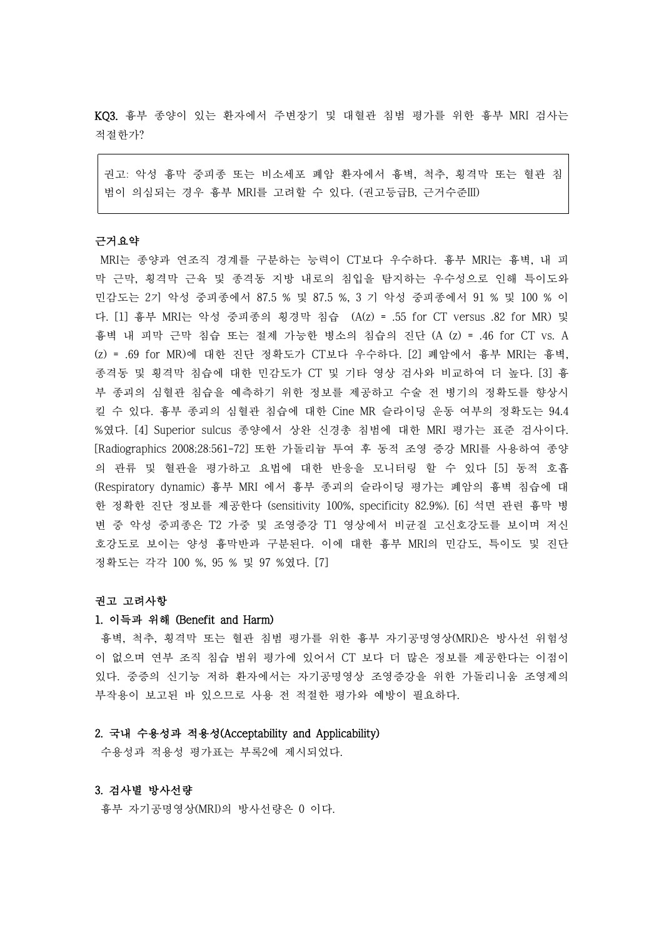KQ3. 흉부 종양이 있는 환자에서 주변장기 및 대혈관 침범 평가를 위한 흉부 MRI 검사는 적절한가?

권고: 악성 흉막 중피종 또는 비소세포 폐암 환자에서 흉벽, 척추, 횡격막 또는 혈관 침 범이 의심되는 경우 흉부 MRI를 고려할 수 있다. (권고등급B, 근거수준III)

## 근거요약

MRI는 종양과 연조직 경계를 구분하는 능력이 CT보다 우수하다. 흉부 MRI는 흉벽, 내 피 막 근막, 횡격막 근육 및 종격동 지방 내로의 침입을 탐지하는 우수성으로 인해 특이도와 민감도는 2기 악성 중피종에서 87.5 % 및 87.5 %, 3 기 악성 중피종에서 91 % 및 100 % 이 다. [1] 흉부 MRI는 악성 중피종의 횡경막 침습 (A(z) = .55 for CT versus .82 for MR) 및 흉벽 내 피막 근막 침습 또는 절제 가능한 병소의 침습의 진단 (A (z) = .46 for CT vs. A (z) = .69 for MR)에 대한 진단 정확도가 CT보다 우수하다. [2] 폐암에서 흉부 MRI는 흉벽,<br>종격동 및 횡격막 침습에 대한 민감도가 CT 및 기타 영상 검사와 비교하여 더 높다. [3] 흉 부 종괴의 심혈관 침습을 예측하기 위한 정보를 제공하고 수술 전 병기의 정확도를 향상시 킬 수 있다. 흉부 종괴의 심혈관 침습에 대한 Cine MR 슬라이딩 운동 여부의 정확도는 94.4 %였다. [4] Superior sulcus 종양에서 상완 신경총 침범에 대한 MRI 평가는 표준 검사이다. [Radiographics 2008;28:561-72] 또한 가돌리늄 투여 후 동적 조영 증강 MRI를 사용하여 종양 의 관류 및 혈관을 평가하고 요법에 대한 반응을 모니터링 할 수 있다 [5] 동적 호흡 (Respiratory dynamic) 흉부 MRI 에서 흉부 종괴의 슬라이딩 평가는 폐암의 흉벽 침습에 대 한 정확한 진단 정보를 제공한다 (sensitivity 100%, specificity 82.9%). [6] 석면 관련 흉막 병 변 중 악성 중피종은 T2 가중 및 조영증강 T1 영상에서 비균질 고신호강도를 보이며 저신 호강도로 보이는 양성 흉막반과 구분된다. 이에 대한 흉부 MRI의 민감도, 특이도 및 진단 정확도는 각각 100 %, 95 % 및 97 %였다. [7]

# 권고 고려사항

#### 1. 이득과 위해 (Benefit and Harm)

흉벽, 척추, 횡격막 또는 혈관 침범 평가를 위한 흉부 자기공명영상(MRI)은 방사선 위험성 이 없으며 연부 조직 침습 범위 평가에 있어서 CT 보다 더 많은 정보를 제공한다는 이점이 있다. 중증의 신기능 저하 환자에서는 자기공명영상 조영증강을 위한 가돌리니움 조영제의 부작용이 보고된 바 있으므로 사용 전 적절한 평가와 예방이 필요하다.

## 2. 국내 수용성과 적용성(Acceptability and Applicability)

수용성과 적용성 평가표는 부록2에 제시되었다.

#### 3. 검사별 방사선량

흉부 자기공명영상(MRI)의 방사선량은 0 이다.